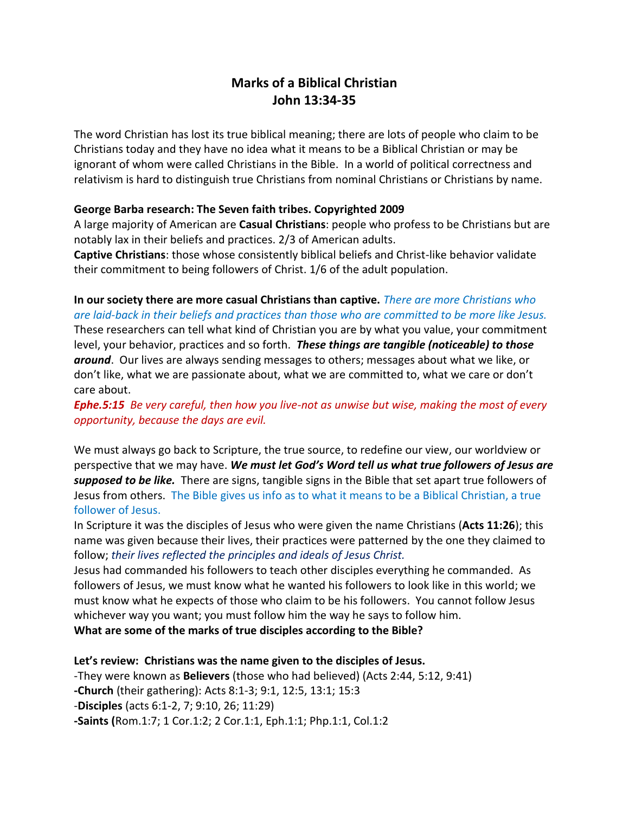# **Marks of a Biblical Christian John 13:34-35**

The word Christian has lost its true biblical meaning; there are lots of people who claim to be Christians today and they have no idea what it means to be a Biblical Christian or may be ignorant of whom were called Christians in the Bible. In a world of political correctness and relativism is hard to distinguish true Christians from nominal Christians or Christians by name.

#### **George Barba research: The Seven faith tribes. Copyrighted 2009**

A large majority of American are **Casual Christians**: people who profess to be Christians but are notably lax in their beliefs and practices. 2/3 of American adults.

**Captive Christians**: those whose consistently biblical beliefs and Christ-like behavior validate their commitment to being followers of Christ. 1/6 of the adult population.

**In our society there are more casual Christians than captive.** *There are more Christians who are laid-back in their beliefs and practices than those who are committed to be more like Jesus.* These researchers can tell what kind of Christian you are by what you value, your commitment level, your behavior, practices and so forth. *These things are tangible (noticeable) to those around*. Our lives are always sending messages to others; messages about what we like, or don't like, what we are passionate about, what we are committed to, what we care or don't care about.

*Ephe.5:15 Be very careful, then how you live-not as unwise but wise, making the most of every opportunity, because the days are evil.*

We must always go back to Scripture, the true source, to redefine our view, our worldview or perspective that we may have. *We must let God's Word tell us what true followers of Jesus are supposed to be like.* There are signs, tangible signs in the Bible that set apart true followers of Jesus from others. The Bible gives us info as to what it means to be a Biblical Christian, a true follower of Jesus.

In Scripture it was the disciples of Jesus who were given the name Christians (**Acts 11:26**); this name was given because their lives, their practices were patterned by the one they claimed to follow; *their lives reflected the principles and ideals of Jesus Christ.*

Jesus had commanded his followers to teach other disciples everything he commanded. As followers of Jesus, we must know what he wanted his followers to look like in this world; we must know what he expects of those who claim to be his followers. You cannot follow Jesus whichever way you want; you must follow him the way he says to follow him.

**What are some of the marks of true disciples according to the Bible?**

**Let's review: Christians was the name given to the disciples of Jesus.** -They were known as **Believers** (those who had believed) (Acts 2:44, 5:12, 9:41) **-Church** (their gathering): Acts 8:1-3; 9:1, 12:5, 13:1; 15:3 -**Disciples** (acts 6:1-2, 7; 9:10, 26; 11:29) **-Saints (**Rom.1:7; 1 Cor.1:2; 2 Cor.1:1, Eph.1:1; Php.1:1, Col.1:2